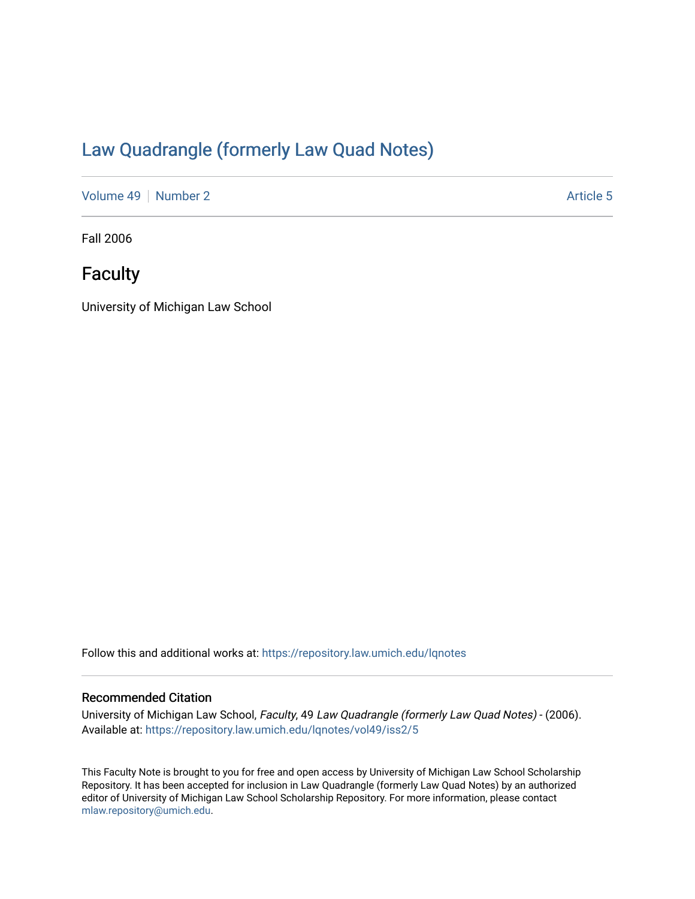# [Law Quadrangle \(formerly Law Quad Notes\)](https://repository.law.umich.edu/lqnotes)

[Volume 49](https://repository.law.umich.edu/lqnotes/vol49) [Number 2](https://repository.law.umich.edu/lqnotes/vol49/iss2) Article 5

Fall 2006

# **Faculty**

University of Michigan Law School

Follow this and additional works at: [https://repository.law.umich.edu/lqnotes](https://repository.law.umich.edu/lqnotes?utm_source=repository.law.umich.edu%2Flqnotes%2Fvol49%2Fiss2%2F5&utm_medium=PDF&utm_campaign=PDFCoverPages) 

### Recommended Citation

University of Michigan Law School, Faculty, 49 Law Quadrangle (formerly Law Quad Notes) - (2006). Available at: [https://repository.law.umich.edu/lqnotes/vol49/iss2/5](https://repository.law.umich.edu/lqnotes/vol49/iss2/5?utm_source=repository.law.umich.edu%2Flqnotes%2Fvol49%2Fiss2%2F5&utm_medium=PDF&utm_campaign=PDFCoverPages) 

This Faculty Note is brought to you for free and open access by University of Michigan Law School Scholarship Repository. It has been accepted for inclusion in Law Quadrangle (formerly Law Quad Notes) by an authorized editor of University of Michigan Law School Scholarship Repository. For more information, please contact [mlaw.repository@umich.edu.](mailto:mlaw.repository@umich.edu)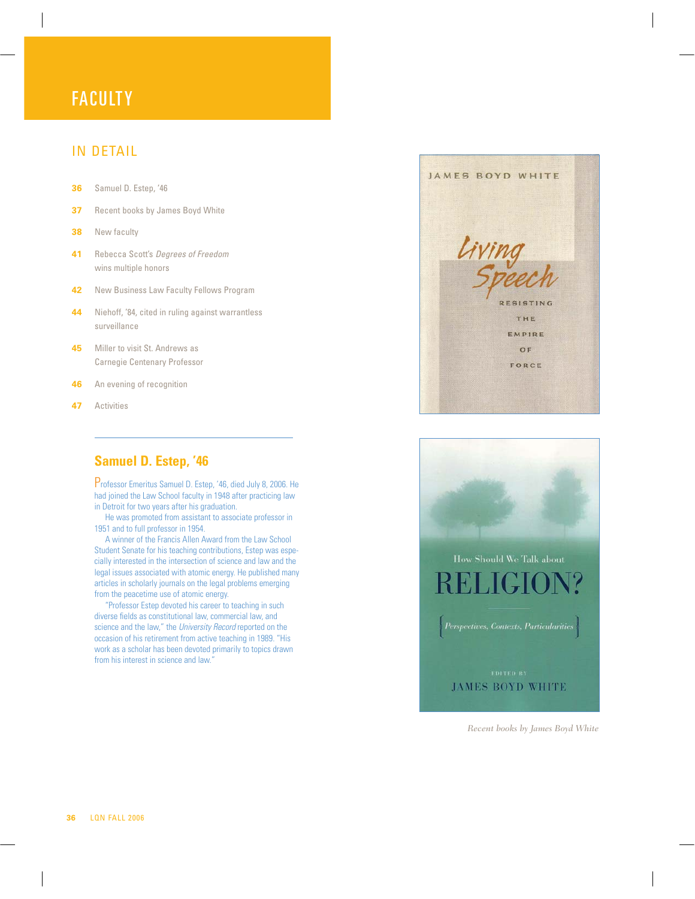# **FACULTY**

### IN DETAIL

- **36** Samuel D. Estep, '46
- **37** Recent books by James Boyd White
- **38** New faculty
- **41** Rebecca Scott's Degrees of Freedom wins multiple honors
- **42** New Business Law Faculty Fellows Program
- **44** Niehoff, '84, cited in ruling against warrantless surveillance
- **45** Miller to visit St. Andrews as Carnegie Centenary Professor
- **46** An evening of recognition
- **47** Activities

## **Samuel D. Estep, '46**

Professor Emeritus Samuel D. Estep, '46, died July 8, 2006. He had joined the Law School faculty in 1948 after practicing law in Detroit for two years after his graduation.

He was promoted from assistant to associate professor in 1951 and to full professor in 1954.

A winner of the Francis Allen Award from the Law School Student Senate for his teaching contributions, Estep was especially interested in the intersection of science and law and the legal issues associated with atomic energy. He published many articles in scholarly journals on the legal problems emerging from the peacetime use of atomic energy.

"Professor Estep devoted his career to teaching in such diverse fields as constitutional law, commercial law, and science and the law," the University Record reported on the occasion of his retirement from active teaching in 1989. "His work as a scholar has been devoted primarily to topics drawn from his interest in science and law."





*Recent books by James Boyd White*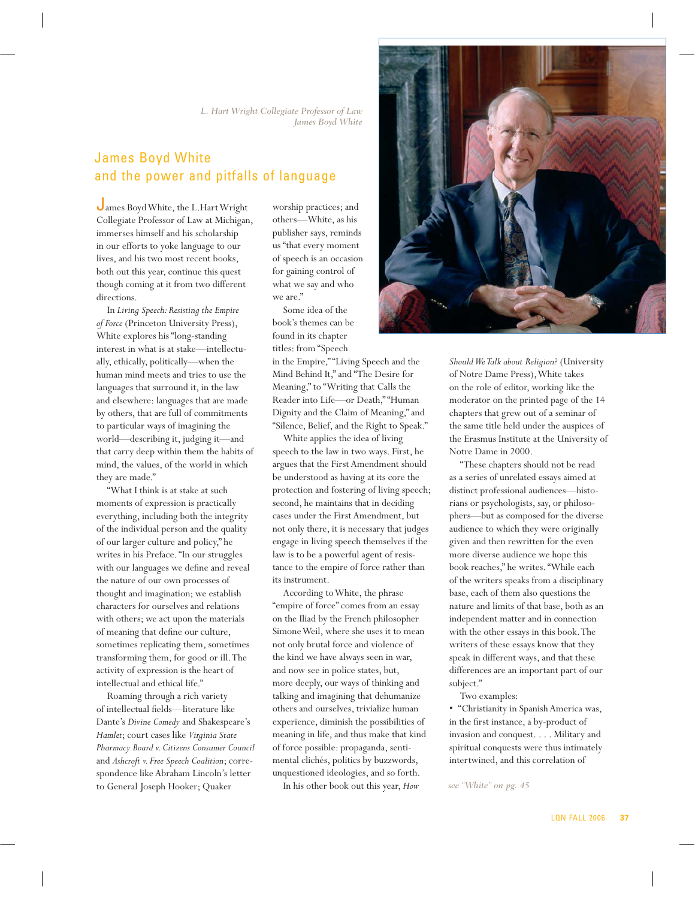*L. Hart Wright Collegiate Professor of Law James Boyd White*

## James Boyd White and the power and pitfalls of language

James Boyd White, the L.Hart Wright Collegiate Professor of Law at Michigan, immerses himself and his scholarship in our efforts to yoke language to our lives, and his two most recent books, both out this year, continue this quest though coming at it from two different directions.

In *Living Speech: Resisting the Empire of Force* (Princeton University Press), White explores his "long-standing interest in what is at stake—intellectually, ethically, politically—when the human mind meets and tries to use the languages that surround it, in the law and elsewhere: languages that are made by others, that are full of commitments to particular ways of imagining the world—describing it, judging it—and that carry deep within them the habits of mind, the values, of the world in which they are made."

"What I think is at stake at such moments of expression is practically everything, including both the integrity of the individual person and the quality of our larger culture and policy," he writes in his Preface. "In our struggles with our languages we define and reveal the nature of our own processes of thought and imagination; we establish characters for ourselves and relations with others; we act upon the materials of meaning that define our culture, sometimes replicating them, sometimes transforming them, for good or ill. The activity of expression is the heart of intellectual and ethical life."

Roaming through a rich variety of intellectual fields—literature like Dante's *Divine Comedy* and Shakespeare's *Hamlet*; court cases like *Virginia State Pharmacy Board v. Citizens Consumer Council* and *Ashcroft v. Free Speech Coalition*; correspondence like Abraham Lincoln's letter to General Joseph Hooker; Quaker

worship practices; and others—White, as his publisher says, reminds us "that every moment of speech is an occasion for gaining control of what we say and who we are."

Some idea of the book's themes can be found in its chapter titles: from "Speech

in the Empire," "Living Speech and the Mind Behind It," and "The Desire for Meaning," to "Writing that Calls the Reader into Life—or Death," "Human Dignity and the Claim of Meaning," and "Silence, Belief, and the Right to Speak."

White applies the idea of living speech to the law in two ways. First, he argues that the First Amendment should be understood as having at its core the protection and fostering of living speech; second, he maintains that in deciding cases under the First Amendment, but not only there, it is necessary that judges engage in living speech themselves if the law is to be a powerful agent of resistance to the empire of force rather than its instrument.

According to White, the phrase "empire of force" comes from an essay on the Iliad by the French philosopher Simone Weil, where she uses it to mean not only brutal force and violence of the kind we have always seen in war, and now see in police states, but, more deeply, our ways of thinking and talking and imagining that dehumanize others and ourselves, trivialize human experience, diminish the possibilities of meaning in life, and thus make that kind of force possible: propaganda, sentimental clichés, politics by buzzwords, unquestioned ideologies, and so forth.

In his other book out this year, *How* 



*Should We Talk about Religion?* (University of Notre Dame Press), White takes on the role of editor, working like the moderator on the printed page of the 14 chapters that grew out of a seminar of the same title held under the auspices of the Erasmus Institute at the University of Notre Dame in 2000.

"These chapters should not be read as a series of unrelated essays aimed at distinct professional audiences—historians or psychologists, say, or philosophers—but as composed for the diverse audience to which they were originally given and then rewritten for the even more diverse audience we hope this book reaches," he writes. "While each of the writers speaks from a disciplinary base, each of them also questions the nature and limits of that base, both as an independent matter and in connection with the other essays in this book. The writers of these essays know that they speak in different ways, and that these differences are an important part of our subject."

Two examples:

• "Christianity in Spanish America was, in the first instance, a by-product of invasion and conquest. . . . Military and spiritual conquests were thus intimately intertwined, and this correlation of

*see "White" on pg. 45*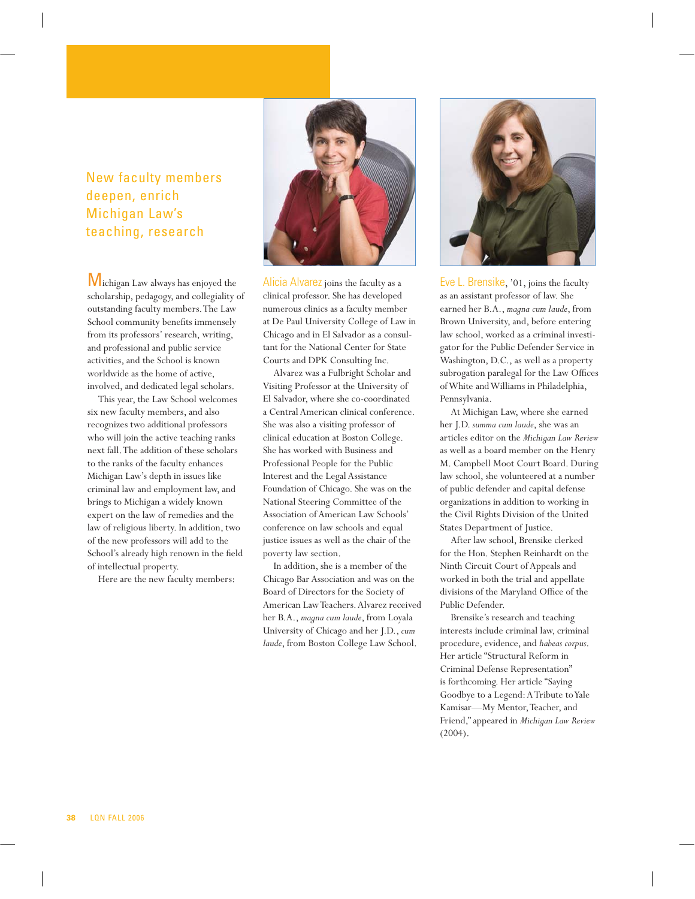# New faculty members deepen, enrich Michigan Law's teaching, research

Michigan Law always has enjoyed the scholarship, pedagogy, and collegiality of outstanding faculty members. The Law School community benefits immensely from its professors' research, writing, and professional and public service activities, and the School is known worldwide as the home of active, involved, and dedicated legal scholars.

This year, the Law School welcomes six new faculty members, and also recognizes two additional professors who will join the active teaching ranks next fall. The addition of these scholars to the ranks of the faculty enhances Michigan Law's depth in issues like criminal law and employment law, and brings to Michigan a widely known expert on the law of remedies and the law of religious liberty. In addition, two of the new professors will add to the School's already high renown in the field of intellectual property.

Here are the new faculty members:



Alicia Alvarez joins the faculty as a clinical professor. She has developed numerous clinics as a faculty member at De Paul University College of Law in Chicago and in El Salvador as a consultant for the National Center for State Courts and DPK Consulting Inc.

Alvarez was a Fulbright Scholar and Visiting Professor at the University of El Salvador, where she co-coordinated a Central American clinical conference. She was also a visiting professor of clinical education at Boston College. She has worked with Business and Professional People for the Public Interest and the Legal Assistance Foundation of Chicago. She was on the National Steering Committee of the Association of American Law Schools' conference on law schools and equal justice issues as well as the chair of the poverty law section.

In addition, she is a member of the Chicago Bar Association and was on the Board of Directors for the Society of American Law Teachers. Alvarez received her B.A., *magna cum laude*, from Loyala University of Chicago and her J.D., *cum laude*, from Boston College Law School.



Eve L. Brensike, '01, joins the faculty as an assistant professor of law. She earned her B.A., *magna cum laude*, from Brown University, and, before entering law school, worked as a criminal investigator for the Public Defender Service in Washington, D.C., as well as a property subrogation paralegal for the Law Offices of White and Williams in Philadelphia, Pennsylvania.

At Michigan Law, where she earned her J.D. *summa cum laude*, she was an articles editor on the *Michigan Law Review* as well as a board member on the Henry M. Campbell Moot Court Board. During law school, she volunteered at a number of public defender and capital defense organizations in addition to working in the Civil Rights Division of the United States Department of Justice.

After law school, Brensike clerked for the Hon. Stephen Reinhardt on the Ninth Circuit Court of Appeals and worked in both the trial and appellate divisions of the Maryland Office of the Public Defender.

Brensike's research and teaching interests include criminal law, criminal procedure, evidence, and *habeas corpus*. Her article "Structural Reform in Criminal Defense Representation" is forthcoming. Her article "Saying Goodbye to a Legend: A Tribute to Yale Kamisar—My Mentor, Teacher, and Friend," appeared in *Michigan Law Review* (2004).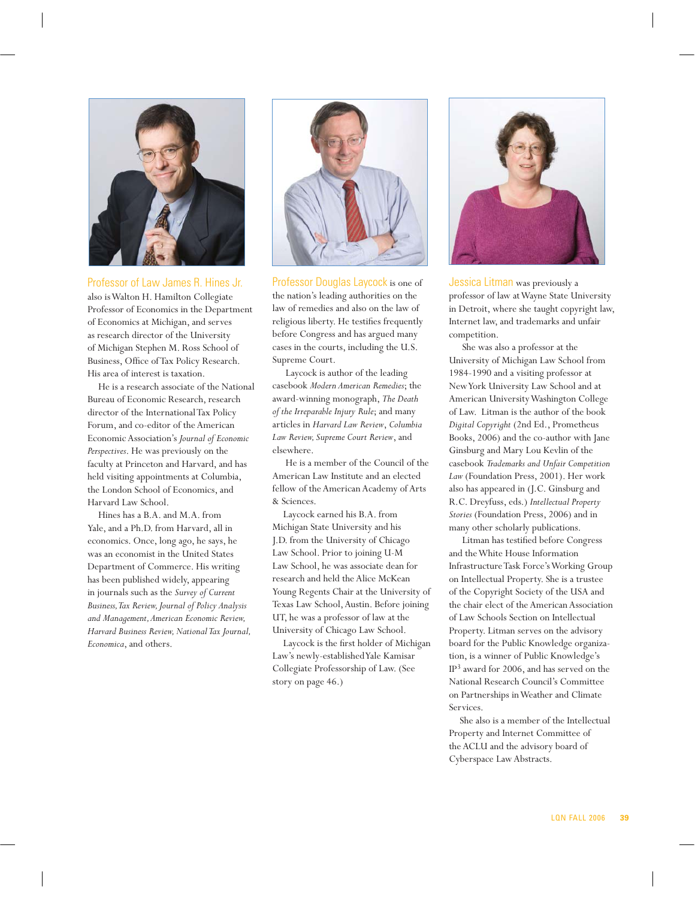

Professor of Law James R. Hines Jr. also is Walton H. Hamilton Collegiate Professor of Economics in the Department of Economics at Michigan, and serves as research director of the University of Michigan Stephen M. Ross School of Business, Office of Tax Policy Research. His area of interest is taxation.

He is a research associate of the National Bureau of Economic Research, research director of the International Tax Policy Forum, and co-editor of the American Economic Association's *Journal of Economic Perspectives*. He was previously on the faculty at Princeton and Harvard, and has held visiting appointments at Columbia, the London School of Economics, and Harvard Law School.

Hines has a B.A. and M.A. from Yale, and a Ph.D. from Harvard, all in economics. Once, long ago, he says, he was an economist in the United States Department of Commerce. His writing has been published widely, appearing in journals such as the *Survey of Current Business, Tax Review, Journal of Policy Analysis and Management, American Economic Review, Harvard Business Review, National Tax Journal, Economica*, and others.



Professor Douglas Laycock is one of the nation's leading authorities on the law of remedies and also on the law of religious liberty. He testifies frequently before Congress and has argued many cases in the courts, including the U.S. Supreme Court.

 Laycock is author of the leading casebook *Modern American Remedies*; the award-winning monograph, *The Death of the Irreparable Injury Rule*; and many articles in *Harvard Law Review*, *Columbia Law Review, Supreme Court Review*, and elsewhere.

 He is a member of the Council of the American Law Institute and an elected fellow of the American Academy of Arts & Sciences.

Laycock earned his B.A. from Michigan State University and his J.D. from the University of Chicago Law School. Prior to joining U-M Law School, he was associate dean for research and held the Alice McKean Young Regents Chair at the University of Texas Law School, Austin. Before joining UT, he was a professor of law at the University of Chicago Law School.

Laycock is the first holder of Michigan Law's newly-established Yale Kamisar Collegiate Professorship of Law. (See story on page 46.)



Jessica Litman was previously a professor of law at Wayne State University in Detroit, where she taught copyright law, Internet law, and trademarks and unfair competition.

 She was also a professor at the University of Michigan Law School from 1984-1990 and a visiting professor at New York University Law School and at American University Washington College of Law. Litman is the author of the book *Digital Copyright* (2nd Ed., Prometheus Books, 2006) and the co-author with Jane Ginsburg and Mary Lou Kevlin of the casebook *Trademarks and Unfair Competition Law* (Foundation Press, 2001). Her work also has appeared in (J.C. Ginsburg and R.C. Dreyfuss, eds.) *Intellectual Property Stories* (Foundation Press, 2006) and in many other scholarly publications.

 Litman has testified before Congress and the White House Information Infrastructure Task Force's Working Group on Intellectual Property. She is a trustee of the Copyright Society of the USA and the chair elect of the American Association of Law Schools Section on Intellectual Property. Litman serves on the advisory board for the Public Knowledge organization, is a winner of Public Knowledge's IP3 award for 2006, and has served on the National Research Council's Committee on Partnerships in Weather and Climate Services.

She also is a member of the Intellectual Property and Internet Committee of the ACLU and the advisory board of Cyberspace Law Abstracts.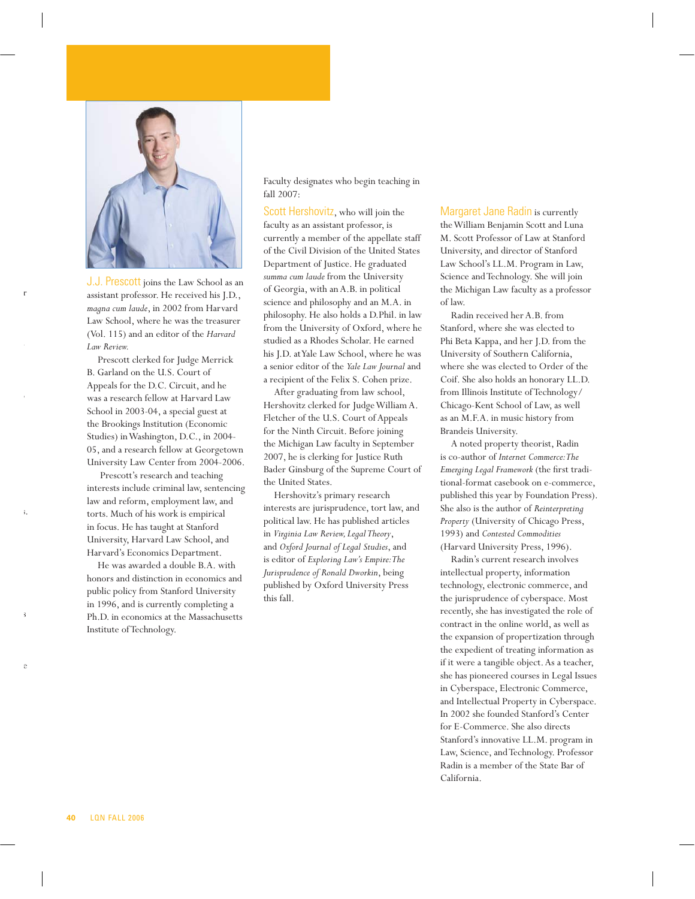

J.J. Prescott joins the Law School as an assistant professor. He received his J.D., *magna cum laude*, in 2002 from Harvard Law School, where he was the treasurer (Vol. 115) and an editor of the *Harvard Law Review.*

Prescott clerked for Judge Merrick B. Garland on the U.S. Court of Appeals for the D.C. Circuit, and he was a research fellow at Harvard Law School in 2003-04, a special guest at the Brookings Institution (Economic Studies) in Washington, D.C., in 2004- 05, and a research fellow at Georgetown University Law Center from 2004-2006.

 Prescott's research and teaching interests include criminal law, sentencing law and reform, employment law, and torts. Much of his work is empirical in focus. He has taught at Stanford University, Harvard Law School, and Harvard's Economics Department.

He was awarded a double B.A. with honors and distinction in economics and public policy from Stanford University in 1996, and is currently completing a Ph.D. in economics at the Massachusetts Institute of Technology.

Faculty designates who begin teaching in fall 2007:

Scott Hershovitz, who will join the faculty as an assistant professor, is currently a member of the appellate staff of the Civil Division of the United States Department of Justice. He graduated *summa cum laude* from the University of Georgia, with an A.B. in political science and philosophy and an M.A. in philosophy. He also holds a D.Phil. in law from the University of Oxford, where he studied as a Rhodes Scholar. He earned his J.D. at Yale Law School, where he was a senior editor of the *Yale Law Journal* and a recipient of the Felix S. Cohen prize.

After graduating from law school, Hershovitz clerked for Judge William A. Fletcher of the U.S. Court of Appeals for the Ninth Circuit. Before joining the Michigan Law faculty in September 2007, he is clerking for Justice Ruth Bader Ginsburg of the Supreme Court of the United States.

Hershovitz's primary research interests are jurisprudence, tort law, and political law. He has published articles in *Virginia Law Review, Legal Theory*, and *Oxford Journal of Legal Studies*, and is editor of *Exploring Law's Empire: The Jurisprudence of Ronald Dworkin*, being published by Oxford University Press this fall.

Margaret Jane Radin is currently the William Benjamin Scott and Luna M. Scott Professor of Law at Stanford University, and director of Stanford Law School's LL.M. Program in Law, Science and Technology. She will join the Michigan Law faculty as a professor of law.

Radin received her A.B. from Stanford, where she was elected to Phi Beta Kappa, and her J.D. from the University of Southern California, where she was elected to Order of the Coif. She also holds an honorary LL.D. from Illinois Institute of Technology/ Chicago-Kent School of Law, as well as an M.F.A. in music history from Brandeis University.

A noted property theorist, Radin is co-author of *Internet Commerce: The Emerging Legal Framework* (the first traditional-format casebook on e-commerce, published this year by Foundation Press). She also is the author of *Reinterpreting Property* (University of Chicago Press, 1993) and *Contested Commodities* (Harvard University Press, 1996).

Radin's current research involves intellectual property, information technology, electronic commerce, and the jurisprudence of cyberspace. Most recently, she has investigated the role of contract in the online world, as well as the expansion of propertization through the expedient of treating information as if it were a tangible object. As a teacher, she has pioneered courses in Legal Issues in Cyberspace, Electronic Commerce, and Intellectual Property in Cyberspace. In 2002 she founded Stanford's Center for E-Commerce. She also directs Stanford's innovative LL.M. program in Law, Science, and Technology. Professor Radin is a member of the State Bar of California.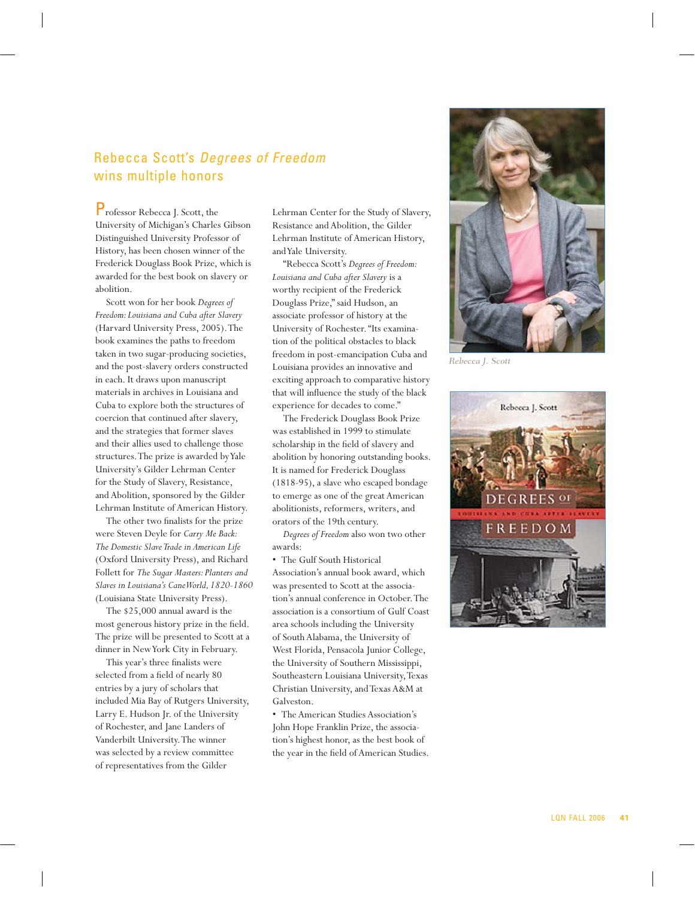## Rebecca Scott's Degrees of Freedom wins multiple honors

Professor Rebecca J. Scott, the University of Michigan's Charles Gibson Distinguished University Professor of History, has been chosen winner of the Frederick Douglass Book Prize, which is awarded for the best book on slavery or abolition.

Scott won for her book *Degrees of Freedom: Louisiana and Cuba after Slavery* (Harvard University Press, 2005). The book examines the paths to freedom taken in two sugar-producing societies, and the post-slavery orders constructed in each. It draws upon manuscript materials in archives in Louisiana and Cuba to explore both the structures of coercion that continued after slavery, and the strategies that former slaves and their allies used to challenge those structures. The prize is awarded by Yale University's Gilder Lehrman Center for the Study of Slavery, Resistance, and Abolition, sponsored by the Gilder Lehrman Institute of American History.

The other two finalists for the prize were Steven Deyle for *Carry Me Back: The Domestic Slave Trade in American Life* (Oxford University Press), and Richard Follett for *The Sugar Masters: Planters and Slaves in Louisiana's Cane World, 1820-1860* (Louisiana State University Press).

The \$25,000 annual award is the most generous history prize in the field. The prize will be presented to Scott at a dinner in New York City in February.

This year's three finalists were selected from a field of nearly 80 entries by a jury of scholars that included Mia Bay of Rutgers University, Larry E. Hudson Jr. of the University of Rochester, and Jane Landers of Vanderbilt University. The winner was selected by a review committee of representatives from the Gilder

Lehrman Center for the Study of Slavery, Resistance and Abolition, the Gilder Lehrman Institute of American History, and Yale University.

"Rebecca Scott's *Degrees of Freedom: Louisiana and Cuba after Slavery* is a worthy recipient of the Frederick Douglass Prize," said Hudson, an associate professor of history at the University of Rochester. "Its examination of the political obstacles to black freedom in post-emancipation Cuba and Louisiana provides an innovative and exciting approach to comparative history that will influence the study of the black experience for decades to come."

The Frederick Douglass Book Prize was established in 1999 to stimulate scholarship in the field of slavery and abolition by honoring outstanding books. It is named for Frederick Douglass (1818-95), a slave who escaped bondage to emerge as one of the great American abolitionists, reformers, writers, and orators of the 19th century.

*Degrees of Freedom* also won two other awards:

• The Gulf South Historical Association's annual book award, which was presented to Scott at the association's annual conference in October. The association is a consortium of Gulf Coast area schools including the University of South Alabama, the University of West Florida, Pensacola Junior College, the University of Southern Mississippi, Southeastern Louisiana University, Texas Christian University, and Texas A&M at Galveston.

• The American Studies Association's John Hope Franklin Prize, the association's highest honor, as the best book of the year in the field of American Studies.



*Rebecca J. Scott*

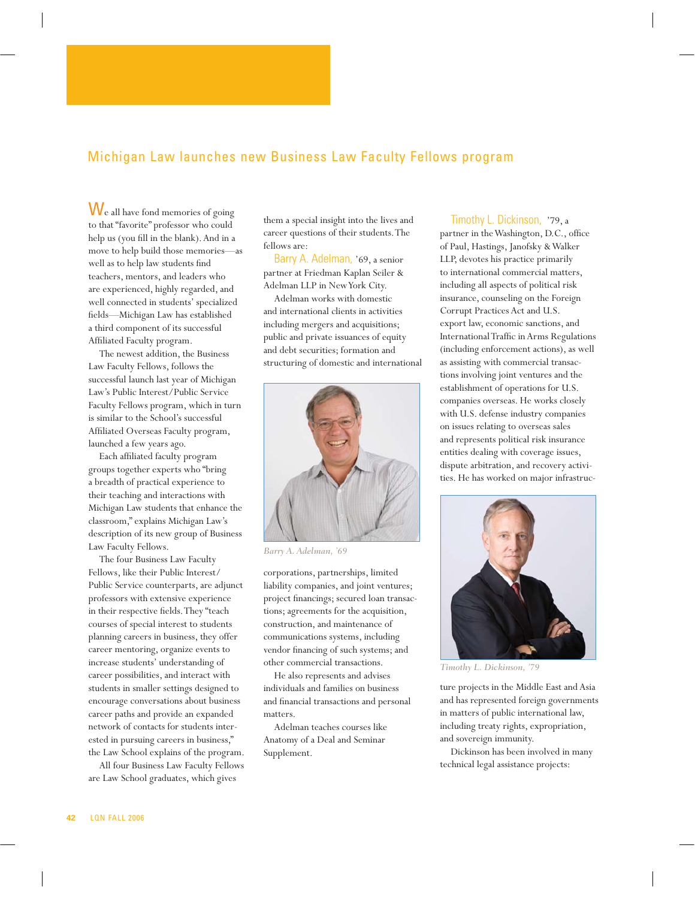### Michigan Law launches new Business Law Faculty Fellows program

We all have fond memories of going to that "favorite" professor who could help us (you fill in the blank). And in a move to help build those memories—as well as to help law students find teachers, mentors, and leaders who are experienced, highly regarded, and well connected in students' specialized fields—Michigan Law has established a third component of its successful Affiliated Faculty program.

The newest addition, the Business Law Faculty Fellows, follows the successful launch last year of Michigan Law's Public Interest/Public Service Faculty Fellows program, which in turn is similar to the School's successful Affiliated Overseas Faculty program, launched a few years ago.

Each affiliated faculty program groups together experts who "bring a breadth of practical experience to their teaching and interactions with Michigan Law students that enhance the classroom," explains Michigan Law's description of its new group of Business Law Faculty Fellows.

The four Business Law Faculty Fellows, like their Public Interest/ Public Service counterparts, are adjunct professors with extensive experience in their respective fields. They "teach courses of special interest to students planning careers in business, they offer career mentoring, organize events to increase students' understanding of career possibilities, and interact with students in smaller settings designed to encourage conversations about business career paths and provide an expanded network of contacts for students interested in pursuing careers in business," the Law School explains of the program.

All four Business Law Faculty Fellows are Law School graduates, which gives

them a special insight into the lives and career questions of their students. The fellows are:

Barry A. Adelman, '69, a senior partner at Friedman Kaplan Seiler & Adelman LLP in New York City.

Adelman works with domestic and international clients in activities including mergers and acquisitions; public and private issuances of equity and debt securities; formation and structuring of domestic and international



*Barry A. Adelman, '69*

corporations, partnerships, limited liability companies, and joint ventures; project financings; secured loan transactions; agreements for the acquisition, construction, and maintenance of communications systems, including vendor financing of such systems; and other commercial transactions.

He also represents and advises individuals and families on business and financial transactions and personal matters.

Adelman teaches courses like Anatomy of a Deal and Seminar Supplement.

### Timothy L. Dickinson, '79, a partner in the Washington, D.C., office of Paul, Hastings, Janofsky & Walker LLP, devotes his practice primarily to international commercial matters, including all aspects of political risk insurance, counseling on the Foreign Corrupt Practices Act and U.S. export law, economic sanctions, and International Traffic in Arms Regulations (including enforcement actions), as well as assisting with commercial transactions involving joint ventures and the establishment of operations for U.S. companies overseas. He works closely with U.S. defense industry companies on issues relating to overseas sales and represents political risk insurance entities dealing with coverage issues, dispute arbitration, and recovery activities. He has worked on major infrastruc-



*Timothy L. Dickinson, '79*

ture projects in the Middle East and Asia and has represented foreign governments in matters of public international law, including treaty rights, expropriation, and sovereign immunity.

Dickinson has been involved in many technical legal assistance projects: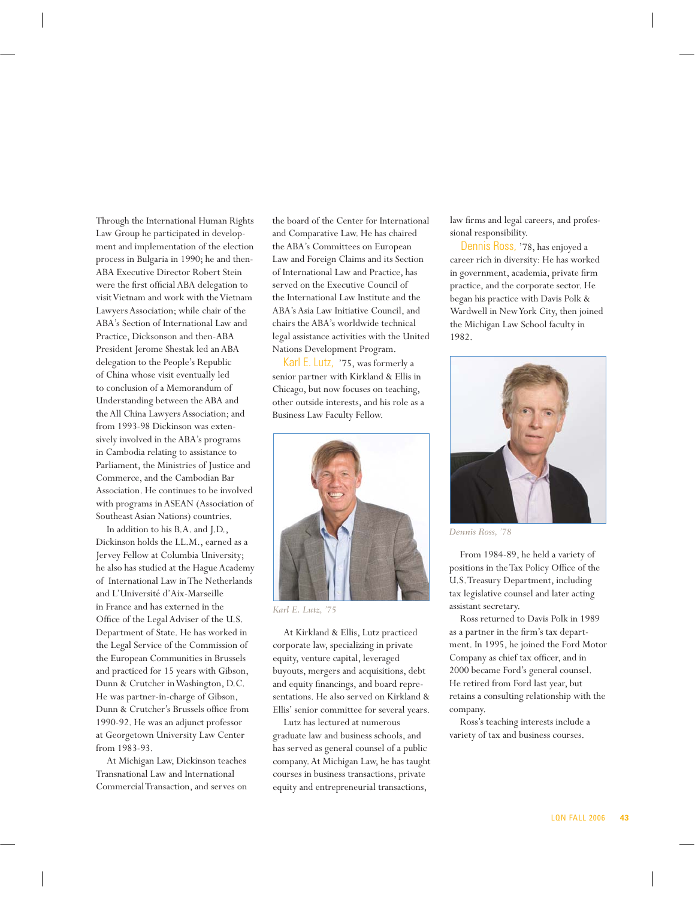Through the International Human Rights Law Group he participated in development and implementation of the election process in Bulgaria in 1990; he and then-ABA Executive Director Robert Stein were the first official ABA delegation to visit Vietnam and work with the Vietnam Lawyers Association; while chair of the ABA's Section of International Law and Practice, Dicksonson and then-ABA President Jerome Shestak led an ABA delegation to the People's Republic of China whose visit eventually led to conclusion of a Memorandum of Understanding between the ABA and the All China Lawyers Association; and from 1993-98 Dickinson was extensively involved in the ABA's programs in Cambodia relating to assistance to Parliament, the Ministries of Justice and Commerce, and the Cambodian Bar Association. He continues to be involved with programs in ASEAN (Association of Southeast Asian Nations) countries.

In addition to his B.A. and J.D., Dickinson holds the LL.M., earned as a Jervey Fellow at Columbia University; he also has studied at the Hague Academy of International Law in The Netherlands and L'Université d'Aix-Marseille in France and has externed in the Office of the Legal Adviser of the U.S. Department of State. He has worked in the Legal Service of the Commission of the European Communities in Brussels and practiced for 15 years with Gibson, Dunn & Crutcher in Washington, D.C. He was partner-in-charge of Gibson, Dunn & Crutcher's Brussels office from 1990-92. He was an adjunct professor at Georgetown University Law Center from 1983-93.

At Michigan Law, Dickinson teaches Transnational Law and International Commercial Transaction, and serves on

the board of the Center for International and Comparative Law. He has chaired the ABA's Committees on European Law and Foreign Claims and its Section of International Law and Practice, has served on the Executive Council of the International Law Institute and the ABA's Asia Law Initiative Council, and chairs the ABA's worldwide technical legal assistance activities with the United Nations Development Program.

Karl E. Lutz, '75, was formerly a senior partner with Kirkland & Ellis in Chicago, but now focuses on teaching, other outside interests, and his role as a Business Law Faculty Fellow.



*Karl E. Lutz, '75*

At Kirkland & Ellis, Lutz practiced corporate law, specializing in private equity, venture capital, leveraged buyouts, mergers and acquisitions, debt and equity financings, and board representations. He also served on Kirkland & Ellis' senior committee for several years.

Lutz has lectured at numerous graduate law and business schools, and has served as general counsel of a public company. At Michigan Law, he has taught courses in business transactions, private equity and entrepreneurial transactions,

law firms and legal careers, and professional responsibility.

Dennis Ross, '78, has enjoyed a career rich in diversity: He has worked in government, academia, private firm practice, and the corporate sector. He began his practice with Davis Polk & Wardwell in New York City, then joined the Michigan Law School faculty in 1982.



*Dennis Ross, '78*

From 1984-89, he held a variety of positions in the Tax Policy Office of the U.S. Treasury Department, including tax legislative counsel and later acting assistant secretary.

Ross returned to Davis Polk in 1989 as a partner in the firm's tax department. In 1995, he joined the Ford Motor Company as chief tax officer, and in 2000 became Ford's general counsel. He retired from Ford last year, but retains a consulting relationship with the company.

Ross's teaching interests include a variety of tax and business courses.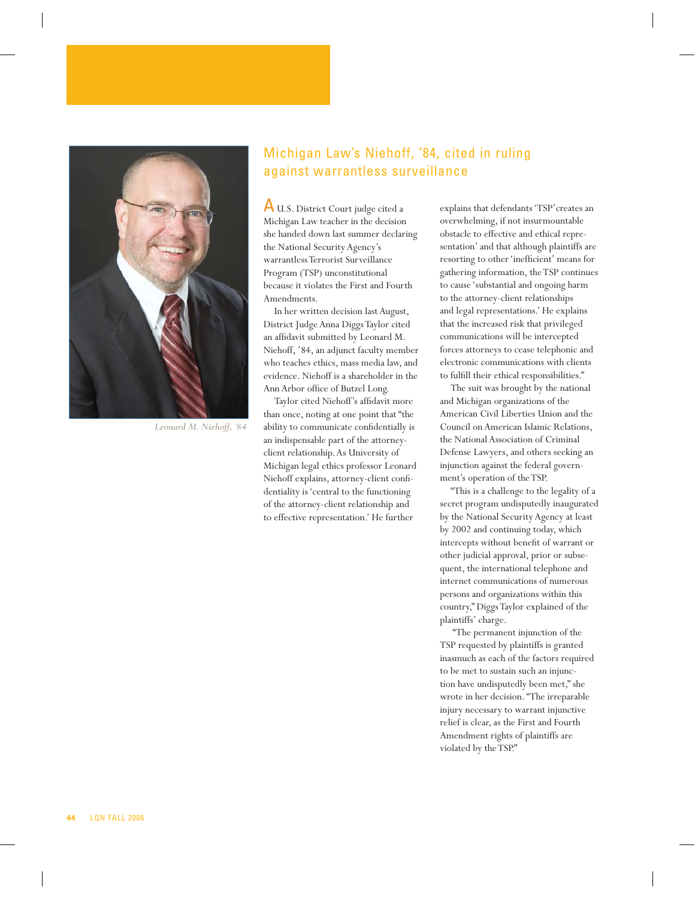

*Leonard M. Niehoff, '84*

# Michigan Law's Niehoff, '84, cited in ruling against warrantless surveillance

A U.S. District Court judge cited a Michigan Law teacher in the decision she handed down last summer declaring the National Security Agency's warrantless Terrorist Surveillance Program (TSP) unconstitutional because it violates the First and Fourth Amendments.

In her written decision last August, District Judge Anna Diggs Taylor cited an affidavit submitted by Leonard M. Niehoff, '84, an adjunct faculty member who teaches ethics, mass media law, and evidence. Niehoff is a shareholder in the Ann Arbor office of Butzel Long.

Taylor cited Niehoff's affidavit more than once, noting at one point that "the ability to communicate confidentially is an indispensable part of the attorneyclient relationship. As University of Michigan legal ethics professor Leonard Niehoff explains, attorney-client confidentiality is 'central to the functioning of the attorney-client relationship and to effective representation.' He further

explains that defendants 'TSP'creates an overwhelming, if not insurmountable obstacle to effective and ethical representation' and that although plaintiffs are resorting to other 'inefficient' means for gathering information, the TSP continues to cause 'substantial and ongoing harm to the attorney-client relationships and legal representations.' He explains that the increased risk that privileged communications will be intercepted forces attorneys to cease telephonic and electronic communications with clients to fulfill their ethical responsibilities."

The suit was brought by the national and Michigan organizations of the American Civil Liberties Union and the Council on American Islamic Relations, the National Association of Criminal Defense Lawyers, and others seeking an injunction against the federal government's operation of the TSP.

"This is a challenge to the legality of a secret program undisputedly inaugurated by the National Security Agency at least by 2002 and continuing today, which intercepts without benefit of warrant or other judicial approval, prior or subsequent, the international telephone and internet communications of numerous persons and organizations within this country," Diggs Taylor explained of the plaintiffs' charge.

 "The permanent injunction of the TSP requested by plaintiffs is granted inasmuch as each of the factors required to be met to sustain such an injunction have undisputedly been met," she wrote in her decision. "The irreparable injury necessary to warrant injunctive relief is clear, as the First and Fourth Amendment rights of plaintiffs are violated by the TSP."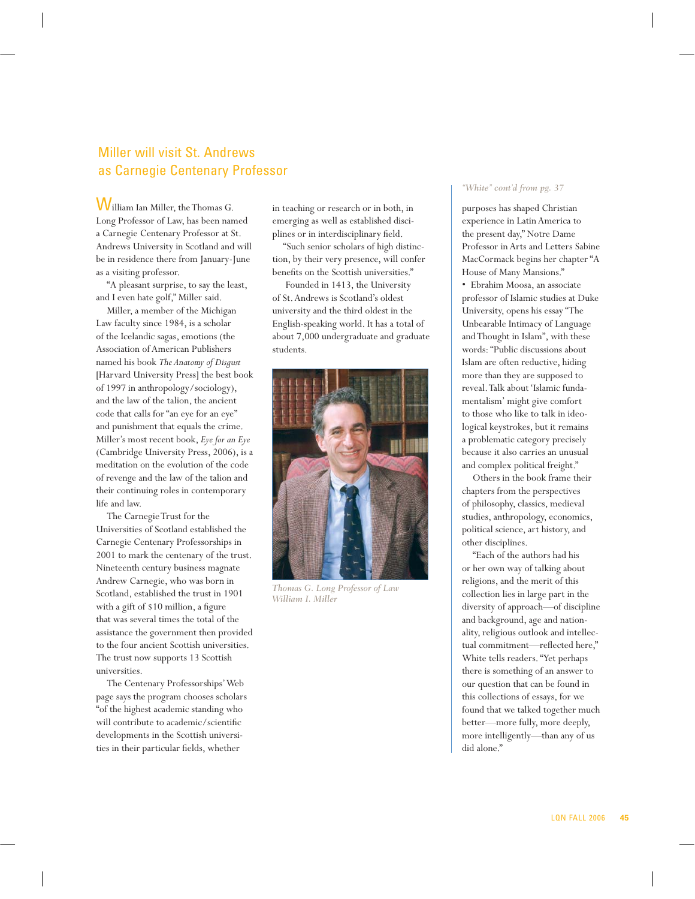# Miller will visit St. Andrews as Carnegie Centenary Professor

William Ian Miller, the Thomas G. Long Professor of Law, has been named a Carnegie Centenary Professor at St. Andrews University in Scotland and will be in residence there from January-June as a visiting professor.

"A pleasant surprise, to say the least, and I even hate golf," Miller said.

Miller, a member of the Michigan Law faculty since 1984, is a scholar of the Icelandic sagas, emotions (the Association of American Publishers named his book *The Anatomy of Disgust* [Harvard University Press] the best book of 1997 in anthropology/sociology), and the law of the talion, the ancient code that calls for "an eye for an eye" and punishment that equals the crime. Miller's most recent book, *Eye for an Eye* (Cambridge University Press, 2006), is a meditation on the evolution of the code of revenge and the law of the talion and their continuing roles in contemporary life and law.

The Carnegie Trust for the Universities of Scotland established the Carnegie Centenary Professorships in 2001 to mark the centenary of the trust. Nineteenth century business magnate Andrew Carnegie, who was born in Scotland, established the trust in 1901 with a gift of \$10 million, a figure that was several times the total of the assistance the government then provided to the four ancient Scottish universities. The trust now supports 13 Scottish universities.

The Centenary Professorships' Web page says the program chooses scholars "of the highest academic standing who will contribute to academic/scientific developments in the Scottish universities in their particular fields, whether

in teaching or research or in both, in emerging as well as established disciplines or in interdisciplinary field.

"Such senior scholars of high distinction, by their very presence, will confer benefits on the Scottish universities."

 Founded in 1413, the University of St. Andrews is Scotland's oldest university and the third oldest in the English-speaking world. It has a total of about 7,000 undergraduate and graduate students.



*Thomas G. Long Professor of Law William I. Miller*

#### *"White" cont'd from pg. 37*

purposes has shaped Christian experience in Latin America to the present day," Notre Dame Professor in Arts and Letters Sabine MacCormack begins her chapter "A House of Many Mansions."

• Ebrahim Moosa, an associate professor of Islamic studies at Duke University, opens his essay "The Unbearable Intimacy of Language and Thought in Islam", with these words: "Public discussions about Islam are often reductive, hiding more than they are supposed to reveal. Talk about 'Islamic fundamentalism' might give comfort to those who like to talk in ideological keystrokes, but it remains a problematic category precisely because it also carries an unusual and complex political freight."

Others in the book frame their chapters from the perspectives of philosophy, classics, medieval studies, anthropology, economics, political science, art history, and other disciplines.

"Each of the authors had his or her own way of talking about religions, and the merit of this collection lies in large part in the diversity of approach—of discipline and background, age and nationality, religious outlook and intellectual commitment—reflected here," White tells readers. "Yet perhaps there is something of an answer to our question that can be found in this collections of essays, for we found that we talked together much better—more fully, more deeply, more intelligently—than any of us did alone."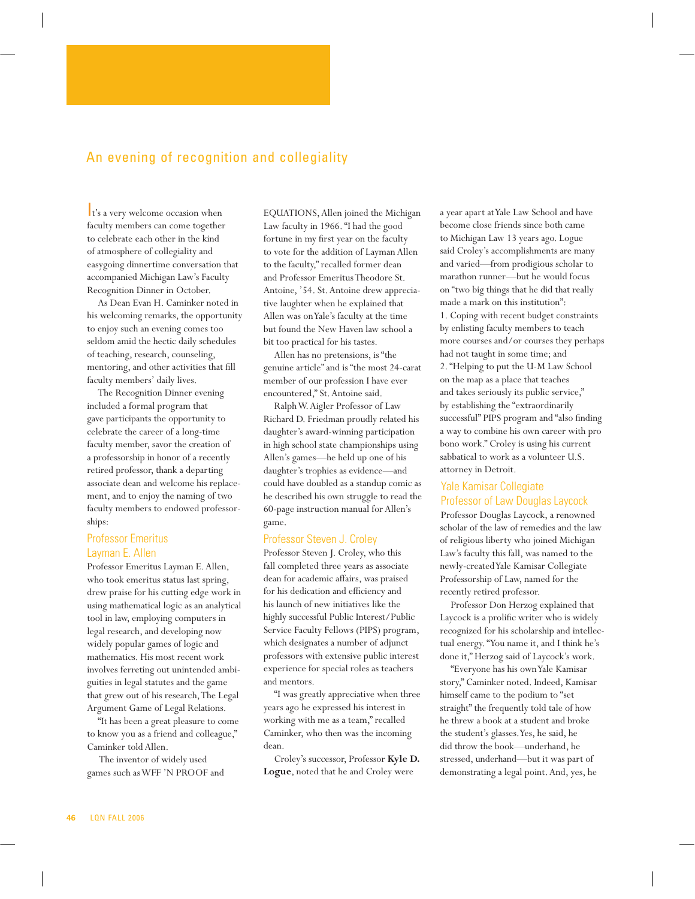## An evening of recognition and collegiality

It's a very welcome occasion when faculty members can come together to celebrate each other in the kind of atmosphere of collegiality and easygoing dinnertime conversation that accompanied Michigan Law's Faculty Recognition Dinner in October.

As Dean Evan H. Caminker noted in his welcoming remarks, the opportunity to enjoy such an evening comes too seldom amid the hectic daily schedules of teaching, research, counseling, mentoring, and other activities that fill faculty members' daily lives.

The Recognition Dinner evening included a formal program that gave participants the opportunity to celebrate the career of a long-time faculty member, savor the creation of a professorship in honor of a recently retired professor, thank a departing associate dean and welcome his replacement, and to enjoy the naming of two faculty members to endowed professorships:

### Professor Emeritus Layman E. Allen

Professor Emeritus Layman E. Allen, who took emeritus status last spring, drew praise for his cutting edge work in using mathematical logic as an analytical tool in law, employing computers in legal research, and developing now widely popular games of logic and mathematics. His most recent work involves ferreting out unintended ambiguities in legal statutes and the game that grew out of his research, The Legal Argument Game of Legal Relations.

"It has been a great pleasure to come to know you as a friend and colleague," Caminker told Allen.

 The inventor of widely used games such as WFF 'N PROOF and EQUATIONS, Allen joined the Michigan Law faculty in 1966. "I had the good fortune in my first year on the faculty to vote for the addition of Layman Allen to the faculty," recalled former dean and Professor Emeritus Theodore St. Antoine, '54. St. Antoine drew appreciative laughter when he explained that Allen was on Yale's faculty at the time but found the New Haven law school a bit too practical for his tastes.

Allen has no pretensions, is "the genuine article" and is "the most 24-carat member of our profession I have ever encountered," St. Antoine said.

Ralph W. Aigler Professor of Law Richard D. Friedman proudly related his daughter's award-winning participation in high school state championships using Allen's games—he held up one of his daughter's trophies as evidence—and could have doubled as a standup comic as he described his own struggle to read the 60-page instruction manual for Allen's game.

#### Professor Steven J. Croley

Professor Steven J. Croley, who this fall completed three years as associate dean for academic affairs, was praised for his dedication and efficiency and his launch of new initiatives like the highly successful Public Interest/Public Service Faculty Fellows (PIPS) program, which designates a number of adjunct professors with extensive public interest experience for special roles as teachers and mentors.

"I was greatly appreciative when three years ago he expressed his interest in working with me as a team," recalled Caminker, who then was the incoming dean.

Croley's successor, Professor **Kyle D. Logue**, noted that he and Croley were

a year apart at Yale Law School and have become close friends since both came to Michigan Law 13 years ago. Logue said Croley's accomplishments are many and varied—from prodigious scholar to marathon runner—but he would focus on "two big things that he did that really made a mark on this institution": 1. Coping with recent budget constraints by enlisting faculty members to teach more courses and/or courses they perhaps had not taught in some time; and 2. "Helping to put the U-M Law School on the map as a place that teaches and takes seriously its public service," by establishing the "extraordinarily successful" PIPS program and "also finding a way to combine his own career with pro bono work." Croley is using his current sabbatical to work as a volunteer U.S. attorney in Detroit.

### Yale Kamisar Collegiate Professor of Law Douglas Laycock

Professor Douglas Laycock, a renowned scholar of the law of remedies and the law of religious liberty who joined Michigan Law's faculty this fall, was named to the newly-created Yale Kamisar Collegiate Professorship of Law, named for the recently retired professor.

Professor Don Herzog explained that Laycock is a prolific writer who is widely recognized for his scholarship and intellectual energy. "You name it, and I think he's done it," Herzog said of Laycock's work.

"Everyone has his own Yale Kamisar story," Caminker noted. Indeed, Kamisar himself came to the podium to "set straight" the frequently told tale of how he threw a book at a student and broke the student's glasses. Yes, he said, he did throw the book—underhand, he stressed, underhand—but it was part of demonstrating a legal point. And, yes, he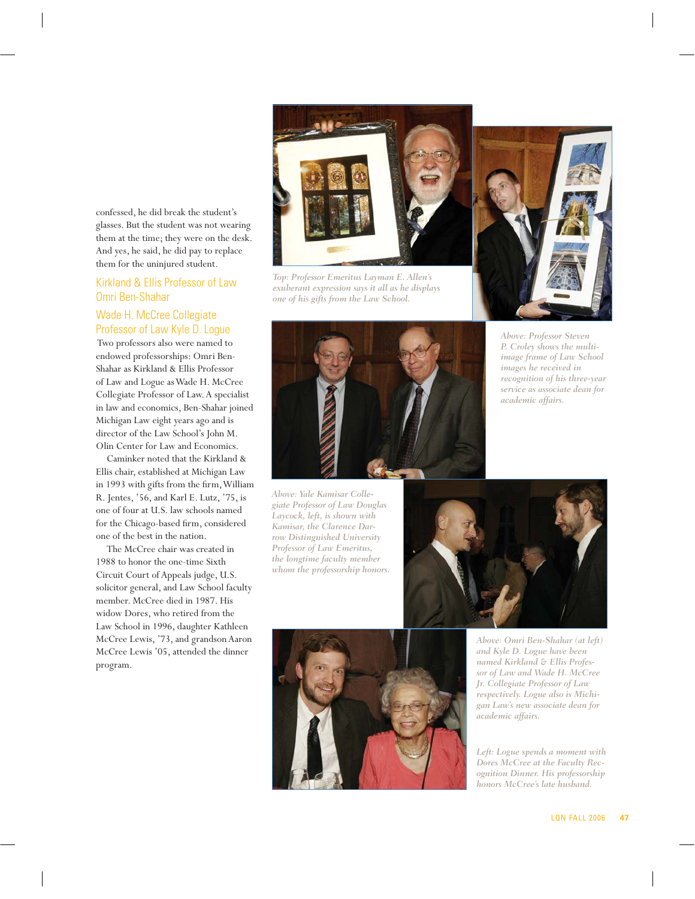confessed, he did break the student's glasses. But the student was not wearing them at the time; they were on the desk. And yes, he said, he did pay to replace them for the uninjured student.

### Kirkland & Ellis Professor of Law Omri Ben-Shahar

### Wade H. McCree Collegiate Professor of Law Kyle D. Logue

 Two professors also were named to endowed professorships: Omri Ben-Shahar as Kirkland & Ellis Professor of Law and Logue as Wade H. McCree Collegiate Professor of Law. A specialist in law and economics, Ben-Shahar joined Michigan Law eight years ago and is director of the Law School's John M. Olin Center for Law and Economics.

Caminker noted that the Kirkland & Ellis chair, established at Michigan Law in 1993 with gifts from the firm, William R. Jentes, '56, and Karl E. Lutz, '75, is one of four at U.S. law schools named for the Chicago-based firm, considered one of the best in the nation.

The McCree chair was created in 1988 to honor the one-time Sixth Circuit Court of Appeals judge, U.S. solicitor general, and Law School faculty member. McCree died in 1987. His widow Dores, who retired from the Law School in 1996, daughter Kathleen McCree Lewis, '73, and grandson Aaron McCree Lewis '05, attended the dinner program.



*Top: Professor Emeritus Layman E. Allen's exuberant expression says it all as he displays one of his gifts from the Law School.*



*Above: Yale Kamisar Collegiate Professor of Law Douglas Laycock, left, is shown with Kamisar, the Clarence Darrow Distinguished University Professor of Law Emeritus, the longtime faculty member whom the professorship honors.*



*Above: Professor Steven P. Croley shows the multiimage frame of Law School images he received in recognition of his three-year service as associate dean for academic affairs.* 





*Above: Omri Ben-Shahar (at left) and Kyle D. Logue have been named Kirkland & Ellis Professor of Law and Wade H. McCree Jr. Collegiate Professor of Law respectively. Logue also is Michigan Law's new associate dean for academic affairs.*

*Left: Logue spends a moment with Dores McCree at the Faculty Recognition Dinner. His professorship honors McCree's late husband.*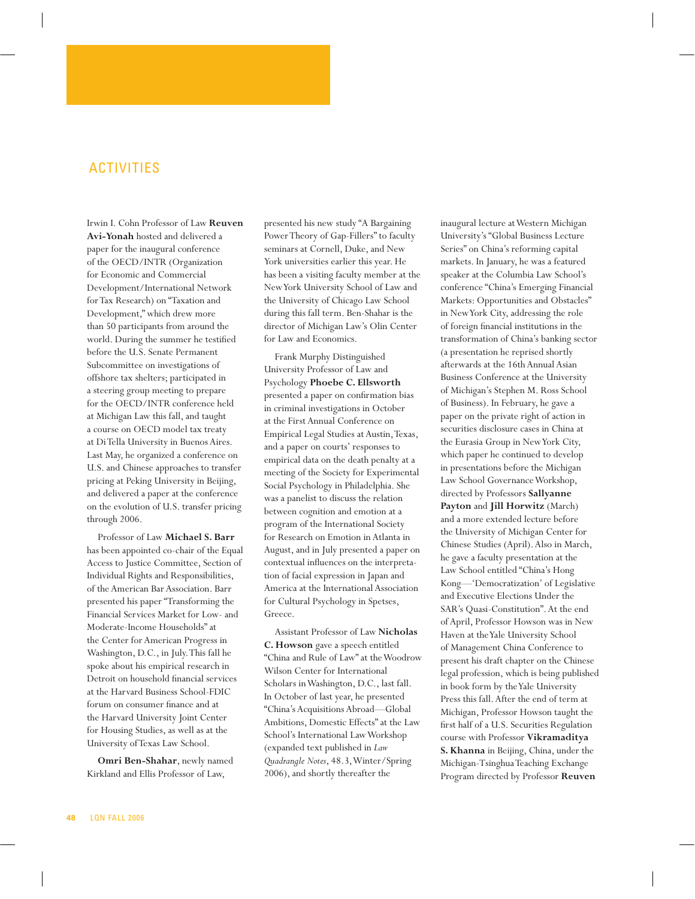## ACTIVITIES

Irwin I. Cohn Professor of Law **Reuven Avi-Yonah** hosted and delivered a paper for the inaugural conference of the OECD/INTR (Organization for Economic and Commercial Development/International Network for Tax Research) on "Taxation and Development," which drew more than 50 participants from around the world. During the summer he testified before the U.S. Senate Permanent Subcommittee on investigations of offshore tax shelters; participated in a steering group meeting to prepare for the OECD/INTR conference held at Michigan Law this fall, and taught a course on OECD model tax treaty at Di Tella University in Buenos Aires. Last May, he organized a conference on U.S. and Chinese approaches to transfer pricing at Peking University in Beijing, and delivered a paper at the conference on the evolution of U.S. transfer pricing through 2006.

Professor of Law **Michael S. Barr** has been appointed co-chair of the Equal Access to Justice Committee, Section of Individual Rights and Responsibilities, of the American Bar Association. Barr presented his paper "Transforming the Financial Services Market for Low- and Moderate-Income Households" at the Center for American Progress in Washington, D.C., in July. This fall he spoke about his empirical research in Detroit on household financial services at the Harvard Business School-FDIC forum on consumer finance and at the Harvard University Joint Center for Housing Studies, as well as at the University of Texas Law School.

**Omri Ben-Shahar**, newly named Kirkland and Ellis Professor of Law,

presented his new study "A Bargaining Power Theory of Gap-Fillers" to faculty seminars at Cornell, Duke, and New York universities earlier this year. He has been a visiting faculty member at the New York University School of Law and the University of Chicago Law School during this fall term. Ben-Shahar is the director of Michigan Law's Olin Center for Law and Economics.

Frank Murphy Distinguished University Professor of Law and Psychology **Phoebe C. Ellsworth** presented a paper on confirmation bias in criminal investigations in October at the First Annual Conference on Empirical Legal Studies at Austin, Texas, and a paper on courts' responses to empirical data on the death penalty at a meeting of the Society for Experimental Social Psychology in Philadelphia. She was a panelist to discuss the relation between cognition and emotion at a program of the International Society for Research on Emotion in Atlanta in August, and in July presented a paper on contextual influences on the interpretation of facial expression in Japan and America at the International Association for Cultural Psychology in Spetses, Greece.

Assistant Professor of Law **Nicholas C. Howson** gave a speech entitled "China and Rule of Law" at the Woodrow Wilson Center for International Scholars in Washington, D.C., last fall. In October of last year, he presented "China's Acquisitions Abroad—Global Ambitions, Domestic Effects" at the Law School's International Law Workshop (expanded text published in *Law Quadrangle Notes*, 48.3, Winter/Spring 2006), and shortly thereafter the

inaugural lecture at Western Michigan University's "Global Business Lecture Series" on China's reforming capital markets. In January, he was a featured speaker at the Columbia Law School's conference "China's Emerging Financial Markets: Opportunities and Obstacles" in New York City, addressing the role of foreign financial institutions in the transformation of China's banking sector (a presentation he reprised shortly afterwards at the 16th Annual Asian Business Conference at the University of Michigan's Stephen M. Ross School of Business). In February, he gave a paper on the private right of action in securities disclosure cases in China at the Eurasia Group in New York City, which paper he continued to develop in presentations before the Michigan Law School Governance Workshop, directed by Professors **Sallyanne Payton** and **Jill Horwitz** (March) and a more extended lecture before the University of Michigan Center for Chinese Studies (April). Also in March, he gave a faculty presentation at the Law School entitled "China's Hong Kong—'Democratization' of Legislative and Executive Elections Under the SAR's Quasi-Constitution". At the end of April, Professor Howson was in New Haven at the Yale University School of Management China Conference to present his draft chapter on the Chinese legal profession, which is being published in book form by the Yale University Press this fall. After the end of term at Michigan, Professor Howson taught the first half of a U.S. Securities Regulation course with Professor **Vikramaditya S. Khanna** in Beijing, China, under the Michigan-Tsinghua Teaching Exchange Program directed by Professor **Reuven**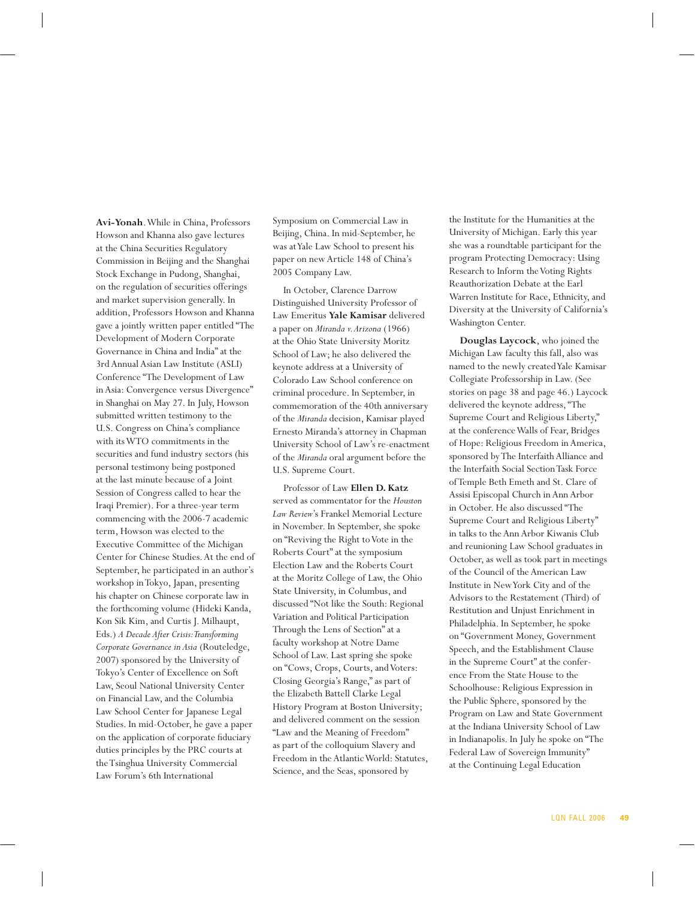**Avi-Yonah**. While in China, Professors Howson and Khanna also gave lectures at the China Securities Regulatory Commission in Beijing and the Shanghai Stock Exchange in Pudong, Shanghai, on the regulation of securities offerings and market supervision generally. In addition, Professors Howson and Khanna gave a jointly written paper entitled "The Development of Modern Corporate Governance in China and India" at the 3rd Annual Asian Law Institute (ASLI) Conference "The Development of Law in Asia: Convergence versus Divergence" in Shanghai on May 27. In July, Howson submitted written testimony to the U.S. Congress on China's compliance with its WTO commitments in the securities and fund industry sectors (his personal testimony being postponed at the last minute because of a Joint Session of Congress called to hear the Iraqi Premier). For a three-year term commencing with the 2006-7 academic term, Howson was elected to the Executive Committee of the Michigan Center for Chinese Studies. At the end of September, he participated in an author's workshop in Tokyo, Japan, presenting his chapter on Chinese corporate law in the forthcoming volume (Hideki Kanda, Kon Sik Kim, and Curtis J. Milhaupt, Eds.) *A Decade After Crisis: Transforming Corporate Governance in Asia* (Routeledge, 2007) sponsored by the University of Tokyo's Center of Excellence on Soft Law, Seoul National University Center on Financial Law, and the Columbia Law School Center for Japanese Legal Studies. In mid-October, he gave a paper on the application of corporate fiduciary duties principles by the PRC courts at the Tsinghua University Commercial Law Forum's 6th International

Symposium on Commercial Law in Beijing, China. In mid-September, he was at Yale Law School to present his paper on new Article 148 of China's 2005 Company Law.

In October, Clarence Darrow Distinguished University Professor of Law Emeritus **Yale Kamisar** delivered a paper on *Miranda v. Arizona* (1966) at the Ohio State University Moritz School of Law; he also delivered the keynote address at a University of Colorado Law School conference on criminal procedure. In September, in commemoration of the 40th anniversary of the *Miranda* decision, Kamisar played Ernesto Miranda's attorney in Chapman University School of Law's re-enactment of the *Miranda* oral argument before the U.S. Supreme Court.

Professor of Law **Ellen D. Katz**  served as commentator for the *Houston Law Review*'s Frankel Memorial Lecture in November. In September, she spoke on "Reviving the Right to Vote in the Roberts Court" at the symposium Election Law and the Roberts Court at the Moritz College of Law, the Ohio State University, in Columbus, and discussed "Not like the South: Regional Variation and Political Participation Through the Lens of Section" at a faculty workshop at Notre Dame School of Law. Last spring she spoke on "Cows, Crops, Courts, and Voters: Closing Georgia's Range," as part of the Elizabeth Battell Clarke Legal History Program at Boston University; and delivered comment on the session "Law and the Meaning of Freedom" as part of the colloquium Slavery and Freedom in the Atlantic World: Statutes, Science, and the Seas, sponsored by

the Institute for the Humanities at the University of Michigan. Early this year she was a roundtable participant for the program Protecting Democracy: Using Research to Inform the Voting Rights Reauthorization Debate at the Earl Warren Institute for Race, Ethnicity, and Diversity at the University of California's Washington Center.

**Douglas Laycock**, who joined the Michigan Law faculty this fall, also was named to the newly created Yale Kamisar Collegiate Professorship in Law. (See stories on page 38 and page 46.) Laycock delivered the keynote address, "The Supreme Court and Religious Liberty," at the conference Walls of Fear, Bridges of Hope: Religious Freedom in America, sponsored by The Interfaith Alliance and the Interfaith Social Section Task Force of Temple Beth Emeth and St. Clare of Assisi Episcopal Church in Ann Arbor in October. He also discussed "The Supreme Court and Religious Liberty" in talks to the Ann Arbor Kiwanis Club and reunioning Law School graduates in October, as well as took part in meetings of the Council of the American Law Institute in New York City and of the Advisors to the Restatement (Third) of Restitution and Unjust Enrichment in Philadelphia. In September, he spoke on "Government Money, Government Speech, and the Establishment Clause in the Supreme Court" at the conference From the State House to the Schoolhouse: Religious Expression in the Public Sphere, sponsored by the Program on Law and State Government at the Indiana University School of Law in Indianapolis. In July he spoke on "The Federal Law of Sovereign Immunity" at the Continuing Legal Education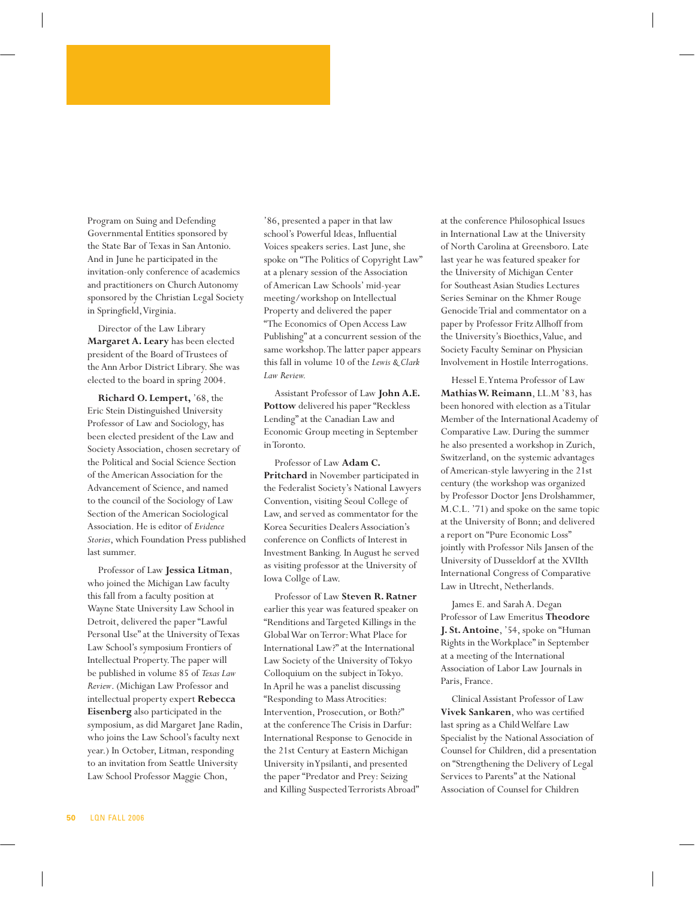Program on Suing and Defending Governmental Entities sponsored by the State Bar of Texas in San Antonio. And in June he participated in the invitation-only conference of academics and practitioners on Church Autonomy sponsored by the Christian Legal Society in Springfield, Virginia.

Director of the Law Library **Margaret A. Leary** has been elected president of the Board of Trustees of the Ann Arbor District Library. She was elected to the board in spring 2004.

**Richard O. Lempert,** '68, the Eric Stein Distinguished University Professor of Law and Sociology, has been elected president of the Law and Society Association, chosen secretary of the Political and Social Science Section of the American Association for the Advancement of Science, and named to the council of the Sociology of Law Section of the American Sociological Association. He is editor of *Evidence Stories*, which Foundation Press published last summer.

Professor of Law **Jessica Litman**, who joined the Michigan Law faculty this fall from a faculty position at Wayne State University Law School in Detroit, delivered the paper "Lawful Personal Use" at the University of Texas Law School's symposium Frontiers of Intellectual Property. The paper will be published in volume 85 of *Texas Law Review*. (Michigan Law Professor and intellectual property expert **Rebecca Eisenberg** also participated in the symposium, as did Margaret Jane Radin, who joins the Law School's faculty next year.) In October, Litman, responding to an invitation from Seattle University Law School Professor Maggie Chon,

'86, presented a paper in that law school's Powerful Ideas, Influential Voices speakers series. Last June, she spoke on "The Politics of Copyright Law" at a plenary session of the Association of American Law Schools' mid-year meeting/workshop on Intellectual Property and delivered the paper "The Economics of Open Access Law Publishing" at a concurrent session of the same workshop. The latter paper appears this fall in volume 10 of the *Lewis & Clark Law Review.*

Assistant Professor of Law **John A.E. Pottow** delivered his paper "Reckless Lending" at the Canadian Law and Economic Group meeting in September in Toronto.

Professor of Law **Adam C. Pritchard** in November participated in the Federalist Society's National Lawyers Convention, visiting Seoul College of Law, and served as commentator for the Korea Securities Dealers Association's conference on Conflicts of Interest in Investment Banking. In August he served as visiting professor at the University of Iowa Collge of Law.

Professor of Law **Steven R. Ratner** earlier this year was featured speaker on "Renditions and Targeted Killings in the Global War on Terror: What Place for International Law?" at the International Law Society of the University of Tokyo Colloquium on the subject in Tokyo. In April he was a panelist discussing "Responding to Mass Atrocities: Intervention, Prosecution, or Both?" at the conference The Crisis in Darfur: International Response to Genocide in the 21st Century at Eastern Michigan University in Ypsilanti, and presented the paper "Predator and Prey: Seizing and Killing Suspected Terrorists Abroad"

at the conference Philosophical Issues in International Law at the University of North Carolina at Greensboro. Late last year he was featured speaker for the University of Michigan Center for Southeast Asian Studies Lectures Series Seminar on the Khmer Rouge Genocide Trial and commentator on a paper by Professor Fritz Allhoff from the University's Bioethics, Value, and Society Faculty Seminar on Physician Involvement in Hostile Interrogations.

Hessel E. Yntema Professor of Law **Mathias W. Reimann**, LL.M '83, has been honored with election as a Titular Member of the International Academy of Comparative Law. During the summer he also presented a workshop in Zurich, Switzerland, on the systemic advantages of American-style lawyering in the 21st century (the workshop was organized by Professor Doctor Jens Drolshammer, M.C.L. '71) and spoke on the same topic at the University of Bonn; and delivered a report on "Pure Economic Loss" jointly with Professor Nils Jansen of the University of Dusseldorf at the XVIIth International Congress of Comparative Law in Utrecht, Netherlands.

James E. and Sarah A. Degan Professor of Law Emeritus **Theodore J. St. Antoine**, '54, spoke on "Human Rights in the Workplace" in September at a meeting of the International Association of Labor Law Journals in Paris, France.

Clinical Assistant Professor of Law **Vivek Sankaren**, who was certified last spring as a Child Welfare Law Specialist by the National Association of Counsel for Children, did a presentation on "Strengthening the Delivery of Legal Services to Parents" at the National Association of Counsel for Children